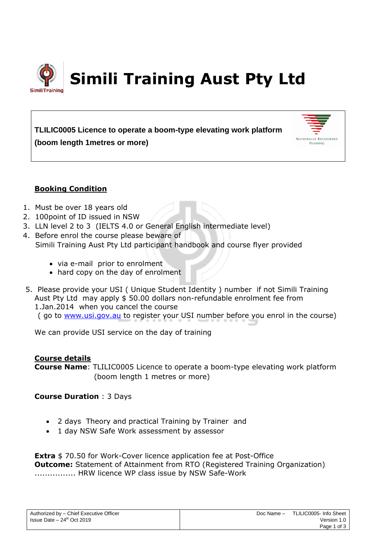

# **TLILIC0005 Licence to operate a boom-type elevating work platform (boom length 1metres or more)**



# **Booking Condition**

- 1. Must be over 18 years old
- 2. 100point of ID issued in NSW
- 3. LLN level 2 to 3 (IELTS 4.0 or General English intermediate level)
- 4. Before enrol the course please beware of Simili Training Aust Pty Ltd participant handbook and course flyer provided
	- via e-mail prior to enrolment
	- hard copy on the day of enrolment
- 5. Please provide your USI ( Unique Student Identity ) number if not Simili Training Aust Pty Ltd may apply \$ 50.00 dollars non-refundable enrolment fee from 1.Jan.2014 when you cancel the course ( go to [www.usi.gov.au](http://www.usi.gov.au/) to register your USI number before you enrol in the course)

We can provide USI service on the day of training

# **Course details**

**Course Name**: TLILIC0005 Licence to operate a boom-type elevating work platform (boom length 1 metres or more)

**Course Duration** : 3 Days

- 2 days Theory and practical Training by Trainer and
- 1 day NSW Safe Work assessment by assessor

**Extra** \$70.50 for Work-Cover licence application fee at Post-Office **Outcome:** Statement of Attainment from RTO (Registered Training Organization) ................ HRW licence WP class issue by NSW Safe-Work

| Authorized by - Chief Executive Officer |
|-----------------------------------------|
| Issue Date $-24th$ Oct 2019             |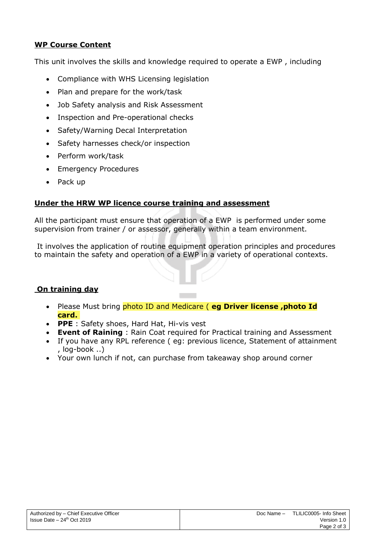# **WP Course Content**

This unit involves the skills and knowledge required to operate a EWP , including

- Compliance with WHS Licensing legislation
- Plan and prepare for the work/task
- Job Safety analysis and Risk Assessment
- Inspection and Pre-operational checks
- Safety/Warning Decal Interpretation
- Safety harnesses check/or inspection
- Perform work/task
- Emergency Procedures
- Pack up

# **Under the HRW WP licence course training and assessment**

All the participant must ensure that operation of a EWP is performed under some supervision from trainer / or assessor, generally within a team environment.

It involves the application of routine equipment operation principles and procedures to maintain the safety and operation of a EWP in a variety of operational contexts.

### **On training day**

- Please Must bring photo ID and Medicare ( **eg Driver license ,photo Id card.**
- **PPE** : Safety shoes, Hard Hat, Hi-vis vest
- **Event of Raining** : Rain Coat required for Practical training and Assessment
- If you have any RPL reference ( eg: previous licence, Statement of attainment , log-book ..)
- Your own lunch if not, can purchase from takeaway shop around corner